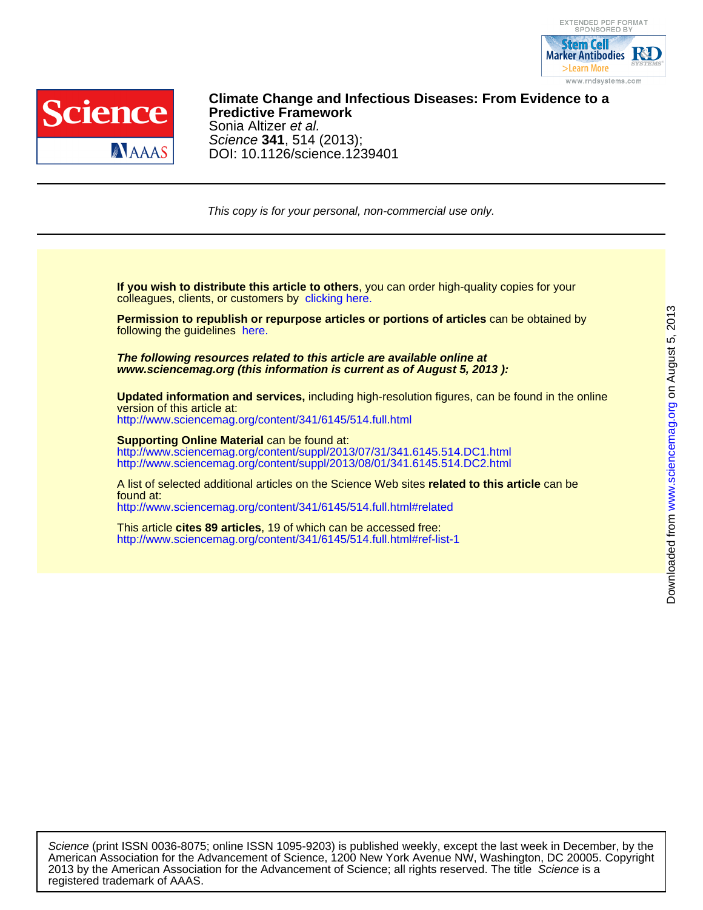



DOI: 10.1126/science.1239401 Science **341**, 514 (2013); Sonia Altizer et al. **Predictive Framework Climate Change and Infectious Diseases: From Evidence to a**

This copy is for your personal, non-commercial use only.

colleagues, clients, or customers by [clicking here.](http://www.sciencemag.org/about/permissions.dtl) **If you wish to distribute this article to others**, you can order high-quality copies for your

following the guidelines [here.](http://www.sciencemag.org/about/permissions.dtl) **Permission to republish or repurpose articles or portions of articles** can be obtained by

**www.sciencemag.org (this information is current as of August 5, 2013 ): The following resources related to this article are available online at**

version of this article at: **Updated information and services,** including high-resolution figures, can be found in the online

<http://www.sciencemag.org/content/341/6145/514.full.html>

http://www.sciencemag.org/content/suppl/2013/08/01/341.6145.514.DC2.html http://www.sciencemag.org/content/suppl/2013/07/31/341.6145.514.DC1.html **Supporting Online Material** can be found at:

<http://www.sciencemag.org/content/341/6145/514.full.html#related> found at: A list of selected additional articles on the Science Web sites **related to this article** can be

<http://www.sciencemag.org/content/341/6145/514.full.html#ref-list-1> This article **cites 89 articles**, 19 of which can be accessed free:

registered trademark of AAAS. 2013 by the American Association for the Advancement of Science; all rights reserved. The title Science is a American Association for the Advancement of Science, 1200 New York Avenue NW, Washington, DC 20005. Copyright Science (print ISSN 0036-8075; online ISSN 1095-9203) is published weekly, except the last week in December, by the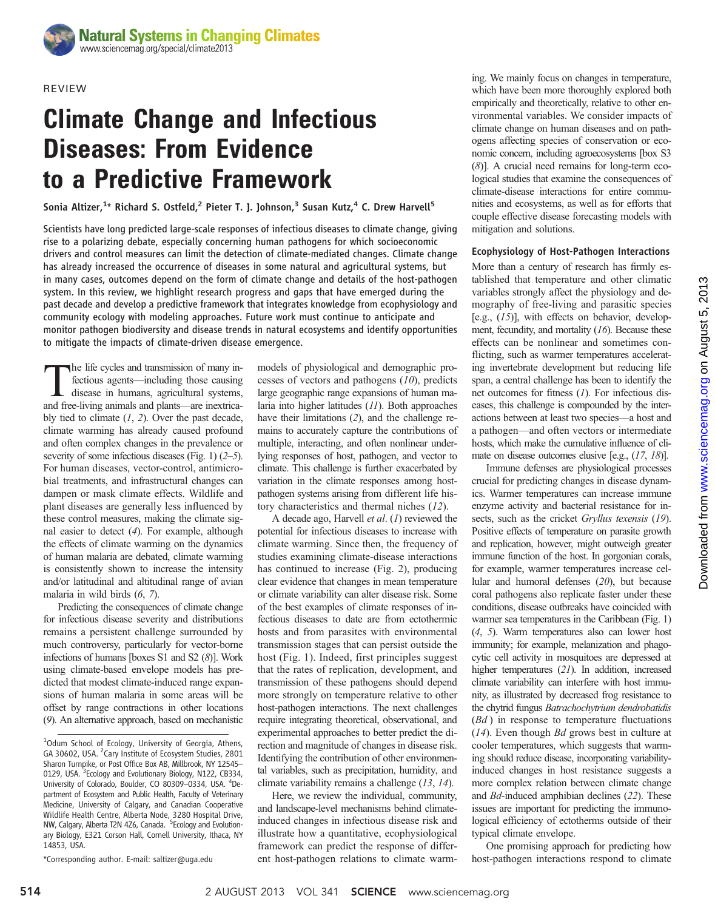#### REVIEW

## Climate Change and Infectious Diseases: From Evidence to a Predictive Framework

Sonia Altizer, $^{1\star}$  Richard S. Ostfeld, $^2$  Pieter T. J. Johnson, $^3$  Susan Kutz, $^4$  C. Drew Harvell $^5$ 

Scientists have long predicted large-scale responses of infectious diseases to climate change, giving rise to a polarizing debate, especially concerning human pathogens for which socioeconomic drivers and control measures can limit the detection of climate-mediated changes. Climate change has already increased the occurrence of diseases in some natural and agricultural systems, but in many cases, outcomes depend on the form of climate change and details of the host-pathogen system. In this review, we highlight research progress and gaps that have emerged during the past decade and develop a predictive framework that integrates knowledge from ecophysiology and community ecology with modeling approaches. Future work must continue to anticipate and monitor pathogen biodiversity and disease trends in natural ecosystems and identify opportunities to mitigate the impacts of climate-driven disease emergence.

The life cycles and transmission of many in-<br>fectious agents—including those causing<br>disease in humans, agricultural systems,<br>and free-living animals and plants—are inextricafectious agents—including those causing disease in humans, agricultural systems, and free-living animals and plants—are inextricably tied to climate  $(1, 2)$ . Over the past decade, climate warming has already caused profound and often complex changes in the prevalence or severity of some infectious diseases (Fig. 1) (2–5). For human diseases, vector-control, antimicrobial treatments, and infrastructural changes can dampen or mask climate effects. Wildlife and plant diseases are generally less influenced by these control measures, making the climate signal easier to detect (4). For example, although the effects of climate warming on the dynamics of human malaria are debated, climate warming is consistently shown to increase the intensity and/or latitudinal and altitudinal range of avian malaria in wild birds (6, 7).

Predicting the consequences of climate change for infectious disease severity and distributions remains a persistent challenge surrounded by much controversy, particularly for vector-borne infections of humans [boxes S1 and S2 (8)]. Work using climate-based envelope models has predicted that modest climate-induced range expansions of human malaria in some areas will be offset by range contractions in other locations (9). An alternative approach, based on mechanistic

\*Corresponding author. E-mail: saltizer@uga.edu

models of physiological and demographic processes of vectors and pathogens (10), predicts large geographic range expansions of human malaria into higher latitudes (11). Both approaches have their limitations (2), and the challenge remains to accurately capture the contributions of multiple, interacting, and often nonlinear underlying responses of host, pathogen, and vector to climate. This challenge is further exacerbated by variation in the climate responses among hostpathogen systems arising from different life history characteristics and thermal niches (12).

A decade ago, Harvell  $et al. (1)$  reviewed the potential for infectious diseases to increase with climate warming. Since then, the frequency of studies examining climate-disease interactions has continued to increase (Fig. 2), producing clear evidence that changes in mean temperature or climate variability can alter disease risk. Some of the best examples of climate responses of infectious diseases to date are from ectothermic hosts and from parasites with environmental transmission stages that can persist outside the host (Fig. 1). Indeed, first principles suggest that the rates of replication, development, and transmission of these pathogens should depend more strongly on temperature relative to other host-pathogen interactions. The next challenges require integrating theoretical, observational, and experimental approaches to better predict the direction and magnitude of changes in disease risk. Identifying the contribution of other environmental variables, such as precipitation, humidity, and climate variability remains a challenge (13, 14).

Here, we review the individual, community, and landscape-level mechanisms behind climateinduced changes in infectious disease risk and illustrate how a quantitative, ecophysiological framework can predict the response of different host-pathogen relations to climate warming. We mainly focus on changes in temperature, which have been more thoroughly explored both empirically and theoretically, relative to other environmental variables. We consider impacts of climate change on human diseases and on pathogens affecting species of conservation or economic concern, including agroecosystems [box S3 (8)]. A crucial need remains for long-term ecological studies that examine the consequences of climate-disease interactions for entire communities and ecosystems, as well as for efforts that couple effective disease forecasting models with mitigation and solutions.

#### Ecophysiology of Host-Pathogen Interactions

More than a century of research has firmly established that temperature and other climatic variables strongly affect the physiology and demography of free-living and parasitic species [e.g., (15)], with effects on behavior, development, fecundity, and mortality (16). Because these effects can be nonlinear and sometimes conflicting, such as warmer temperatures accelerating invertebrate development but reducing life span, a central challenge has been to identify the net outcomes for fitness  $(I)$ . For infectious diseases, this challenge is compounded by the interactions between at least two species—a host and a pathogen—and often vectors or intermediate hosts, which make the cumulative influence of climate on disease outcomes elusive [e.g.,  $(17, 18)$ ].

Immune defenses are physiological processes crucial for predicting changes in disease dynamics. Warmer temperatures can increase immune enzyme activity and bacterial resistance for insects, such as the cricket Gryllus texensis (19). Positive effects of temperature on parasite growth and replication, however, might outweigh greater immune function of the host. In gorgonian corals, for example, warmer temperatures increase cellular and humoral defenses (20), but because coral pathogens also replicate faster under these conditions, disease outbreaks have coincided with warmer sea temperatures in the Caribbean (Fig. 1) (4, 5). Warm temperatures also can lower host immunity; for example, melanization and phagocytic cell activity in mosquitoes are depressed at higher temperatures (21). In addition, increased climate variability can interfere with host immunity, as illustrated by decreased frog resistance to the chytrid fungus Batrachochytrium dendrobatidis  $(Bd)$  in response to temperature fluctuations  $(14)$ . Even though *Bd* grows best in culture at cooler temperatures, which suggests that warming should reduce disease, incorporating variabilityinduced changes in host resistance suggests a more complex relation between climate change and Bd-induced amphibian declines (22). These issues are important for predicting the immunological efficiency of ectotherms outside of their typical climate envelope.

One promising approach for predicting how host-pathogen interactions respond to climate

<sup>&</sup>lt;sup>1</sup>Odum School of Ecology, University of Georgia, Athens, GA 30602, USA. <sup>2</sup>Cary Institute of Ecosystem Studies, 2801 Sharon Turnpike, or Post Office Box AB, Millbrook, NY 12545– 0129, USA. <sup>3</sup> Ecology and Evolutionary Biology, N122, CB334, University of Colorado, Boulder, CO 80309-0334, USA. <sup>4</sup>Department of Ecosystem and Public Health, Faculty of Veterinary Medicine, University of Calgary, and Canadian Cooperative Wildlife Health Centre, Alberta Node, 3280 Hospital Drive, NW, Calgary, Alberta T2N 4Z6, Canada. <sup>5</sup> Ecology and Evolutionary Biology, E321 Corson Hall, Cornell University, Ithaca, NY 14853, USA.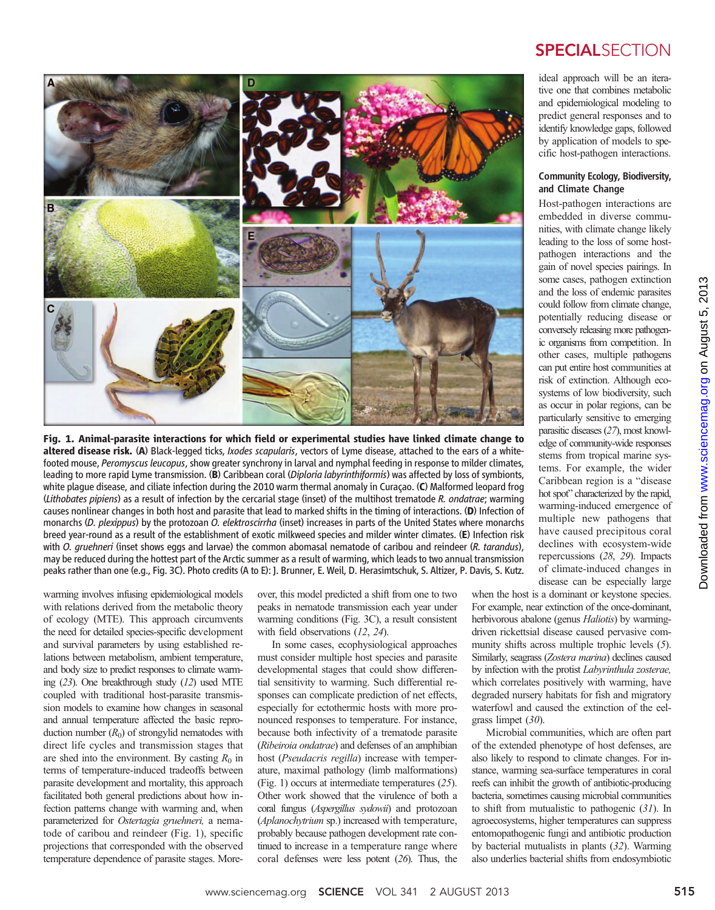

Fig. 1. Animal-parasite interactions for which field or experimental studies have linked climate change to altered disease risk. (A) Black-legged ticks, *Ixodes scapularis*, vectors of Lyme disease, attached to the ears of a whitefooted mouse, Peromyscus leucopus, show greater synchrony in larval and nymphal feeding in response to milder climates, leading to more rapid Lyme transmission. (B) Caribbean coral (Diploria labyrinthiformis) was affected by loss of symbionts, white plague disease, and ciliate infection during the 2010 warm thermal anomaly in Curaçao. (C) Malformed leopard frog (Lithobates pipiens) as a result of infection by the cercarial stage (inset) of the multihost trematode R. ondatrae; warming causes nonlinear changes in both host and parasite that lead to marked shifts in the timing of interactions. (D) Infection of monarchs (D. plexippus) by the protozoan O. elektroscirrha (inset) increases in parts of the United States where monarchs breed year-round as a result of the establishment of exotic milkweed species and milder winter climates. (E) Infection risk with O. gruehneri (inset shows eggs and larvae) the common abomasal nematode of caribou and reindeer (R. tarandus), may be reduced during the hottest part of the Arctic summer as a result of warming, which leads to two annual transmission peaks rather than one (e.g., Fig. 3C). Photo credits (A to E): J. Brunner, E. Weil, D. Herasimtschuk, S. Altizer, P. Davis, S. Kutz.

warming involves infusing epidemiological models with relations derived from the metabolic theory of ecology (MTE). This approach circumvents the need for detailed species-specific development and survival parameters by using established relations between metabolism, ambient temperature, and body size to predict responses to climate warming (23). One breakthrough study (12) used MTE coupled with traditional host-parasite transmission models to examine how changes in seasonal and annual temperature affected the basic reproduction number  $(R_0)$  of strongylid nematodes with direct life cycles and transmission stages that are shed into the environment. By casting  $R_0$  in terms of temperature-induced tradeoffs between parasite development and mortality, this approach facilitated both general predictions about how infection patterns change with warming and, when parameterized for Ostertagia gruehneri, a nematode of caribou and reindeer (Fig. 1), specific projections that corresponded with the observed temperature dependence of parasite stages. Moreover, this model predicted a shift from one to two peaks in nematode transmission each year under warming conditions (Fig. 3C), a result consistent with field observations (12, 24).

In some cases, ecophysiological approaches must consider multiple host species and parasite developmental stages that could show differential sensitivity to warming. Such differential responses can complicate prediction of net effects, especially for ectothermic hosts with more pronounced responses to temperature. For instance, because both infectivity of a trematode parasite (Ribeiroia ondatrae) and defenses of an amphibian host (Pseudacris regilla) increase with temperature, maximal pathology (limb malformations) (Fig. 1) occurs at intermediate temperatures (25). Other work showed that the virulence of both a coral fungus (Aspergillus sydowii) and protozoan (Aplanochytrium sp.) increased with temperature, probably because pathogen development rate continued to increase in a temperature range where coral defenses were less potent (26). Thus, the

## **SPECIALSECTION**

ideal approach will be an iterative one that combines metabolic and epidemiological modeling to predict general responses and to identify knowledge gaps, followed by application of models to specific host-pathogen interactions.

#### Community Ecology, Biodiversity, and Climate Change

Host-pathogen interactions are embedded in diverse communities, with climate change likely leading to the loss of some hostpathogen interactions and the gain of novel species pairings. In some cases, pathogen extinction and the loss of endemic parasites could follow from climate change, potentially reducing disease or conversely releasing more pathogenic organisms from competition. In other cases, multiple pathogens can put entire host communities at risk of extinction. Although ecosystems of low biodiversity, such as occur in polar regions, can be particularly sensitive to emerging parasitic diseases (27), most knowledge of community-wide responses stems from tropical marine systems. For example, the wider Caribbean region is a "disease hot spot" characterized by the rapid, warming-induced emergence of multiple new pathogens that have caused precipitous coral declines with ecosystem-wide repercussions (28, 29). Impacts of climate-induced changes in disease can be especially large

Downloaded from www.sciencemag.org on August 5, 2013 on August 5, 2013 [www.sciencemag.org](http://www.sciencemag.org/) Downloaded from

when the host is a dominant or keystone species. For example, near extinction of the once-dominant, herbivorous abalone (genus Haliotis) by warmingdriven rickettsial disease caused pervasive community shifts across multiple trophic levels (5). Similarly, seagrass (Zostera marina) declines caused by infection with the protist Labyrinthula zosterae, which correlates positively with warming, have degraded nursery habitats for fish and migratory waterfowl and caused the extinction of the eelgrass limpet (30).

Microbial communities, which are often part of the extended phenotype of host defenses, are also likely to respond to climate changes. For instance, warming sea-surface temperatures in coral reefs can inhibit the growth of antibiotic-producing bacteria, sometimes causing microbial communities to shift from mutualistic to pathogenic  $(31)$ . In agroecosystems, higher temperatures can suppress entomopathogenic fungi and antibiotic production by bacterial mutualists in plants (32). Warming also underlies bacterial shifts from endosymbiotic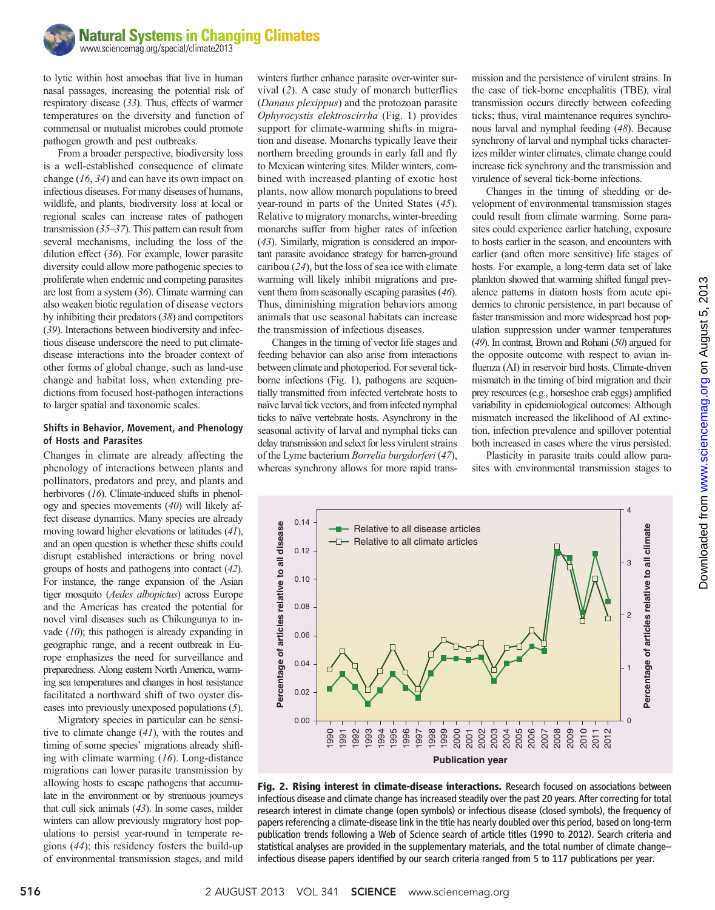

to lytic within host amoebas that live in human nasal passages, increasing the potential risk of respiratory disease (33). Thus, effects of warmer temperatures on the diversity and function of commensal or mutualist microbes could promote pathogen growth and pest outbreaks.

From a broader perspective, biodiversity loss is a well-established consequence of climate change (16, 34) and can have its own impact on infectious diseases. For many diseases of humans, wildlife, and plants, biodiversity loss at local or regional scales can increase rates of pathogen transmission  $(35-37)$ . This pattern can result from several mechanisms, including the loss of the dilution effect (36). For example, lower parasite diversity could allow more pathogenic species to proliferate when endemic and competing parasites are lost from a system (36). Climate warming can also weaken biotic regulation of disease vectors by inhibiting their predators (38) and competitors (39). Interactions between biodiversity and infectious disease underscore the need to put climatedisease interactions into the broader context of other forms of global change, such as land-use change and habitat loss, when extending predictions from focused host-pathogen interactions to larger spatial and taxonomic scales.

#### Shifts in Behavior, Movement, and Phenology of Hosts and Parasites

Changes in climate are already affecting the phenology of interactions between plants and pollinators, predators and prey, and plants and herbivores (16). Climate-induced shifts in phenology and species movements (40) will likely affect disease dynamics. Many species are already moving toward higher elevations or latitudes (41), and an open question is whether these shifts could disrupt established interactions or bring novel groups of hosts and pathogens into contact (42). For instance, the range expansion of the Asian tiger mosquito (Aedes albopictus) across Europe and the Americas has created the potential for novel viral diseases such as Chikungunya to invade (10); this pathogen is already expanding in geographic range, and a recent outbreak in Europe emphasizes the need for surveillance and preparedness. Along eastern North America, warming sea temperatures and changes in host resistance facilitated a northward shift of two oyster diseases into previously unexposed populations (5).

Migratory species in particular can be sensitive to climate change (41), with the routes and timing of some species' migrations already shifting with climate warming (16). Long-distance migrations can lower parasite transmission by allowing hosts to escape pathogens that accumulate in the environment or by strenuous journeys that cull sick animals (43). In some cases, milder winters can allow previously migratory host populations to persist year-round in temperate regions (44); this residency fosters the build-up of environmental transmission stages, and mild

winters further enhance parasite over-winter survival (2). A case study of monarch butterflies (Danaus plexippus) and the protozoan parasite Ophyrocystis elektroscirrha (Fig. 1) provides support for climate-warming shifts in migration and disease. Monarchs typically leave their northern breeding grounds in early fall and fly to Mexican wintering sites. Milder winters, combined with increased planting of exotic host plants, now allow monarch populations to breed year-round in parts of the United States (45). Relative to migratory monarchs, winter-breeding monarchs suffer from higher rates of infection (43). Similarly, migration is considered an important parasite avoidance strategy for barren-ground caribou (24), but the loss of sea ice with climate warming will likely inhibit migrations and prevent them from seasonally escaping parasites (46). Thus, diminishing migration behaviors among animals that use seasonal habitats can increase the transmission of infectious diseases.

Changes in the timing of vector life stages and feeding behavior can also arise from interactions between climate and photoperiod. For several tickborne infections (Fig. 1), pathogens are sequentially transmitted from infected vertebrate hosts to naïve larval tick vectors, and from infected nymphal ticks to naïve vertebrate hosts. Asynchrony in the seasonal activity of larval and nymphal ticks can delay transmission and select for less virulent strains of the Lyme bacterium Borrelia burgdorferi (47), whereas synchrony allows for more rapid transmission and the persistence of virulent strains. In the case of tick-borne encephalitis (TBE), viral transmission occurs directly between cofeeding ticks; thus, viral maintenance requires synchronous larval and nymphal feeding (48). Because synchrony of larval and nymphal ticks characterizes milder winter climates, climate change could increase tick synchrony and the transmission and virulence of several tick-borne infections.

Changes in the timing of shedding or development of environmental transmission stages could result from climate warming. Some parasites could experience earlier hatching, exposure to hosts earlier in the season, and encounters with earlier (and often more sensitive) life stages of hosts. For example, a long-term data set of lake plankton showed that warming shifted fungal prevalence patterns in diatom hosts from acute epidemics to chronic persistence, in part because of faster transmission and more widespread host population suppression under warmer temperatures (49). In contrast, Brown and Rohani (50) argued for the opposite outcome with respect to avian influenza (AI) in reservoir bird hosts. Climate-driven mismatch in the timing of bird migration and their prey resources (e.g., horseshoe crab eggs) amplified variability in epidemiological outcomes: Although mismatch increased the likelihood of AI extinction, infection prevalence and spillover potential both increased in cases where the virus persisted.

Plasticity in parasite traits could allow parasites with environmental transmission stages to



Fig. 2. Rising interest in climate-disease interactions. Research focused on associations between infectious disease and climate change has increased steadily over the past 20 years. After correcting for total research interest in climate change (open symbols) or infectious disease (closed symbols), the frequency of papers referencing a climate-disease link in the title has nearly doubled over this period, based on long-term publication trends following a Web of Science search of article titles (1990 to 2012). Search criteria and statistical analyses are provided in the supplementary materials, and the total number of climate change– infectious disease papers identified by our search criteria ranged from 5 to 117 publications per year.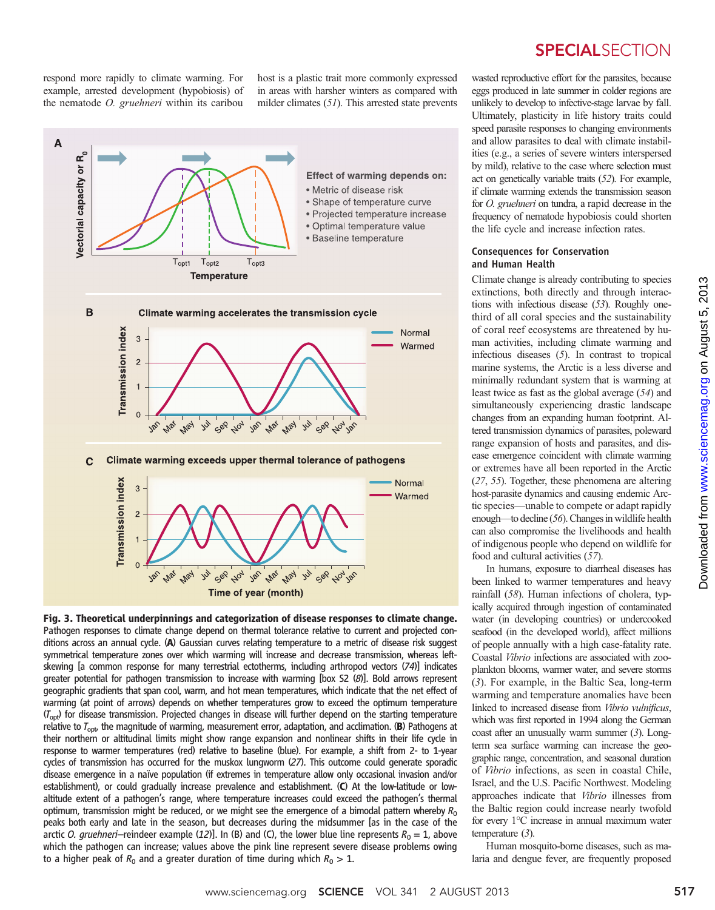respond more rapidly to climate warming. For example, arrested development (hypobiosis) of the nematode O. gruehneri within its caribou

host is a plastic trait more commonly expressed in areas with harsher winters as compared with milder climates (51). This arrested state prevents



Fig. 3. Theoretical underpinnings and categorization of disease responses to climate change. Pathogen responses to climate change depend on thermal tolerance relative to current and projected conditions across an annual cycle. (A) Gaussian curves relating temperature to a metric of disease risk suggest symmetrical temperature zones over which warming will increase and decrease transmission, whereas leftskewing [a common response for many terrestrial ectotherms, including arthropod vectors (74)] indicates greater potential for pathogen transmission to increase with warming [box S2 (8)]. Bold arrows represent geographic gradients that span cool, warm, and hot mean temperatures, which indicate that the net effect of warming (at point of arrows) depends on whether temperatures grow to exceed the optimum temperature  $(\mathcal{T}_{opt})$  for disease transmission. Projected changes in disease will further depend on the starting temperature relative to  $T_{\text{out}}$  the magnitude of warming, measurement error, adaptation, and acclimation. (B) Pathogens at their northern or altitudinal limits might show range expansion and nonlinear shifts in their life cycle in response to warmer temperatures (red) relative to baseline (blue). For example, a shift from 2- to 1-year cycles of transmission has occurred for the muskox lungworm (27). This outcome could generate sporadic disease emergence in a naïve population (if extremes in temperature allow only occasional invasion and/or establishment), or could gradually increase prevalence and establishment. (C) At the low-latitude or lowaltitude extent of a pathogen's range, where temperature increases could exceed the pathogen's thermal optimum, transmission might be reduced, or we might see the emergence of a bimodal pattern whereby  $R_0$ peaks both early and late in the season, but decreases during the midsummer [as in the case of the arctic O. gruehneri–reindeer example (12)]. In (B) and (C), the lower blue line represents  $R_0 = 1$ , above which the pathogen can increase; values above the pink line represent severe disease problems owing to a higher peak of  $R_0$  and a greater duration of time during which  $R_0 > 1$ .

### **SPECIALSECTION**

wasted reproductive effort for the parasites, because eggs produced in late summer in colder regions are unlikely to develop to infective-stage larvae by fall. Ultimately, plasticity in life history traits could speed parasite responses to changing environments and allow parasites to deal with climate instabilities (e.g., a series of severe winters interspersed by mild), relative to the case where selection must act on genetically variable traits (52). For example, if climate warming extends the transmission season for O. gruehneri on tundra, a rapid decrease in the frequency of nematode hypobiosis could shorten the life cycle and increase infection rates.

#### Consequences for Conservation and Human Health

Climate change is already contributing to species extinctions, both directly and through interactions with infectious disease (53). Roughly onethird of all coral species and the sustainability of coral reef ecosystems are threatened by human activities, including climate warming and infectious diseases (5). In contrast to tropical marine systems, the Arctic is a less diverse and minimally redundant system that is warming at least twice as fast as the global average (54) and simultaneously experiencing drastic landscape changes from an expanding human footprint. Altered transmission dynamics of parasites, poleward range expansion of hosts and parasites, and disease emergence coincident with climate warming or extremes have all been reported in the Arctic (27, 55). Together, these phenomena are altering host-parasite dynamics and causing endemic Arctic species—unable to compete or adapt rapidly enough—to decline (56). Changes in wildlife health can also compromise the livelihoods and health of indigenous people who depend on wildlife for food and cultural activities (57).

In humans, exposure to diarrheal diseases has been linked to warmer temperatures and heavy rainfall (58). Human infections of cholera, typically acquired through ingestion of contaminated water (in developing countries) or undercooked seafood (in the developed world), affect millions of people annually with a high case-fatality rate. Coastal Vibrio infections are associated with zooplankton blooms, warmer water, and severe storms (3). For example, in the Baltic Sea, long-term warming and temperature anomalies have been linked to increased disease from Vibrio vulnificus, which was first reported in 1994 along the German coast after an unusually warm summer  $(3)$ . Longterm sea surface warming can increase the geographic range, concentration, and seasonal duration of Vibrio infections, as seen in coastal Chile, Israel, and the U.S. Pacific Northwest. Modeling approaches indicate that Vibrio illnesses from the Baltic region could increase nearly twofold for every 1°C increase in annual maximum water temperature  $(3)$ .

Human mosquito-borne diseases, such as malaria and dengue fever, are frequently proposed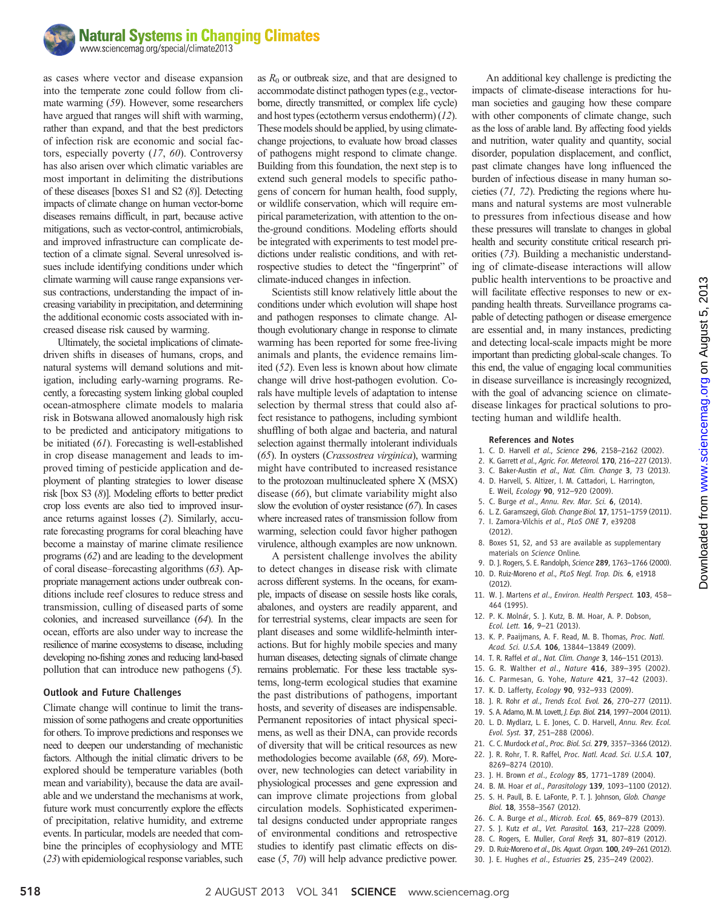

as cases where vector and disease expansion into the temperate zone could follow from climate warming (59). However, some researchers have argued that ranges will shift with warming, rather than expand, and that the best predictors of infection risk are economic and social factors, especially poverty (17, 60). Controversy has also arisen over which climatic variables are most important in delimiting the distributions of these diseases [boxes S1 and S2 (8)]. Detecting impacts of climate change on human vector-borne diseases remains difficult, in part, because active mitigations, such as vector-control, antimicrobials, and improved infrastructure can complicate detection of a climate signal. Several unresolved issues include identifying conditions under which climate warming will cause range expansions versus contractions, understanding the impact of increasing variability in precipitation, and determining the additional economic costs associated with increased disease risk caused by warming.

Ultimately, the societal implications of climatedriven shifts in diseases of humans, crops, and natural systems will demand solutions and mitigation, including early-warning programs. Recently, a forecasting system linking global coupled ocean-atmosphere climate models to malaria risk in Botswana allowed anomalously high risk to be predicted and anticipatory mitigations to be initiated (61). Forecasting is well-established in crop disease management and leads to improved timing of pesticide application and deployment of planting strategies to lower disease risk [box S3 (8)]. Modeling efforts to better predict crop loss events are also tied to improved insurance returns against losses (2). Similarly, accurate forecasting programs for coral bleaching have become a mainstay of marine climate resilience programs (62) and are leading to the development of coral disease–forecasting algorithms (63). Appropriate management actions under outbreak conditions include reef closures to reduce stress and transmission, culling of diseased parts of some colonies, and increased surveillance (64). In the ocean, efforts are also under way to increase the resilience of marine ecosystems to disease, including developing no-fishing zones and reducing land-based pollution that can introduce new pathogens (5).

#### Outlook and Future Challenges

Climate change will continue to limit the transmission of some pathogens and create opportunities for others. To improve predictions and responses we need to deepen our understanding of mechanistic factors. Although the initial climatic drivers to be explored should be temperature variables (both mean and variability), because the data are available and we understand the mechanisms at work, future work must concurrently explore the effects of precipitation, relative humidity, and extreme events. In particular, models are needed that combine the principles of ecophysiology and MTE (23) with epidemiological response variables, such

as  $R_0$  or outbreak size, and that are designed to accommodate distinct pathogen types (e.g., vectorborne, directly transmitted, or complex life cycle) and host types (ectotherm versus endotherm) (12). These models should be applied, by using climatechange projections, to evaluate how broad classes of pathogens might respond to climate change. Building from this foundation, the next step is to extend such general models to specific pathogens of concern for human health, food supply, or wildlife conservation, which will require empirical parameterization, with attention to the onthe-ground conditions. Modeling efforts should be integrated with experiments to test model predictions under realistic conditions, and with retrospective studies to detect the "fingerprint" of climate-induced changes in infection.

Scientists still know relatively little about the conditions under which evolution will shape host and pathogen responses to climate change. Although evolutionary change in response to climate warming has been reported for some free-living animals and plants, the evidence remains limited (52). Even less is known about how climate change will drive host-pathogen evolution. Corals have multiple levels of adaptation to intense selection by thermal stress that could also affect resistance to pathogens, including symbiont shuffling of both algae and bacteria, and natural selection against thermally intolerant individuals (65). In oysters (Crassostrea virginica), warming might have contributed to increased resistance to the protozoan multinucleated sphere X (MSX) disease (66), but climate variability might also slow the evolution of oyster resistance (67). In cases where increased rates of transmission follow from warming, selection could favor higher pathogen virulence, although examples are now unknown.

A persistent challenge involves the ability to detect changes in disease risk with climate across different systems. In the oceans, for example, impacts of disease on sessile hosts like corals, abalones, and oysters are readily apparent, and for terrestrial systems, clear impacts are seen for plant diseases and some wildlife-helminth interactions. But for highly mobile species and many human diseases, detecting signals of climate change remains problematic. For these less tractable systems, long-term ecological studies that examine the past distributions of pathogens, important hosts, and severity of diseases are indispensable. Permanent repositories of intact physical specimens, as well as their DNA, can provide records of diversity that will be critical resources as new methodologies become available (68, 69). Moreover, new technologies can detect variability in physiological processes and gene expression and can improve climate projections from global circulation models. Sophisticated experimental designs conducted under appropriate ranges of environmental conditions and retrospective studies to identify past climatic effects on disease (5, 70) will help advance predictive power.

An additional key challenge is predicting the impacts of climate-disease interactions for human societies and gauging how these compare with other components of climate change, such as the loss of arable land. By affecting food yields and nutrition, water quality and quantity, social disorder, population displacement, and conflict, past climate changes have long influenced the burden of infectious disease in many human societies (71, 72). Predicting the regions where humans and natural systems are most vulnerable to pressures from infectious disease and how these pressures will translate to changes in global health and security constitute critical research priorities (73). Building a mechanistic understanding of climate-disease interactions will allow public health interventions to be proactive and will facilitate effective responses to new or expanding health threats. Surveillance programs capable of detecting pathogen or disease emergence are essential and, in many instances, predicting and detecting local-scale impacts might be more important than predicting global-scale changes. To this end, the value of engaging local communities in disease surveillance is increasingly recognized, with the goal of advancing science on climatedisease linkages for practical solutions to protecting human and wildlife health.

#### References and Notes

- 1. C. D. Harvell et al., Science 296, 2158–2162 (2002).
- 2. K. Garrett et al., Agric. For. Meteorol. 170, 216–227 (2013).
- 3. C. Baker-Austin et al., Nat. Clim. Change 3, 73 (2013).
- 4. D. Harvell, S. Altizer, I. M. Cattadori, L. Harrington, E. Weil, Ecology 90, 912–920 (2009).
- 5. C. Burge et al., Annu. Rev. Mar. Sci. 6, (2014).
- 6. L. Z. Garamszegi, Glob. Change Biol. 17, 1751–1759 (2011). 7. I. Zamora-Vilchis et al., PLoS ONE 7, e39208
- (2012).
- 8. Boxes S1, S2, and S3 are available as supplementary materials on Science Online.
- 9. D. J. Rogers, S. E. Randolph, Science 289, 1763–1766 (2000).
- 10. D. Ruiz-Moreno et al., PLoS Negl. Trop. Dis. 6, e1918  $(2012)$
- 11. W. J. Martens et al., Environ. Health Perspect. 103, 458-464 (1995).
- 12. P. K. Molnár, S. J. Kutz, B. M. Hoar, A. P. Dobson, Ecol. Lett. 16, 9–21 (2013).
- 13. K. P. Paaijmans, A. F. Read, M. B. Thomas, Proc. Natl. Acad. Sci. U.S.A. 106, 13844–13849 (2009).
- 14. T. R. Raffel et al., Nat. Clim. Change 3, 146–151 (2013).
- 15. G. R. Walther et al., Nature 416, 389–395 (2002).
- 16. C. Parmesan, G. Yohe, Nature 421, 37–42 (2003).
- 17. K. D. Lafferty, Ecology 90, 932–933 (2009).
- 18. J. R. Rohr et al., Trends Ecol. Evol. 26, 270–277 (2011).
- 19. S. A. Adamo, M. M. Lovett, J. Exp. Biol. 214, 1997–2004 (2011).
- 20. L. D. Mydlarz, L. E. Jones, C. D. Harvell, Annu. Rev. Ecol. Evol. Syst. 37, 251–288 (2006).
- 21. C. C. Murdock et al., Proc. Biol. Sci. 279, 3357–3366 (2012).
- 22. J. R. Rohr, T. R. Raffel, Proc. Natl. Acad. Sci. U.S.A. 107, 8269–8274 (2010).
- 23. J. H. Brown et al., Ecology 85, 1771–1789 (2004).
- 24. B. M. Hoar et al., Parasitology 139, 1093–1100 (2012).
- 25. S. H. Paull, B. E. LaFonte, P. T. J. Johnson, Glob. Change Biol. 18, 3558–3567 (2012).
- 26. C. A. Burge et al., Microb. Ecol. 65, 869–879 (2013).
- 27. S. J. Kutz et al., Vet. Parasitol. 163, 217-228 (2009).
- 28. C. Rogers, E. Muller, Coral Reefs 31, 807–819 (2012).
- 29. D. Ruiz-Moreno et al., Dis. Aquat. Organ. 100, 249-261 (2012).
- 30. J. E. Hughes et al., Estuaries 25, 235–249 (2002).